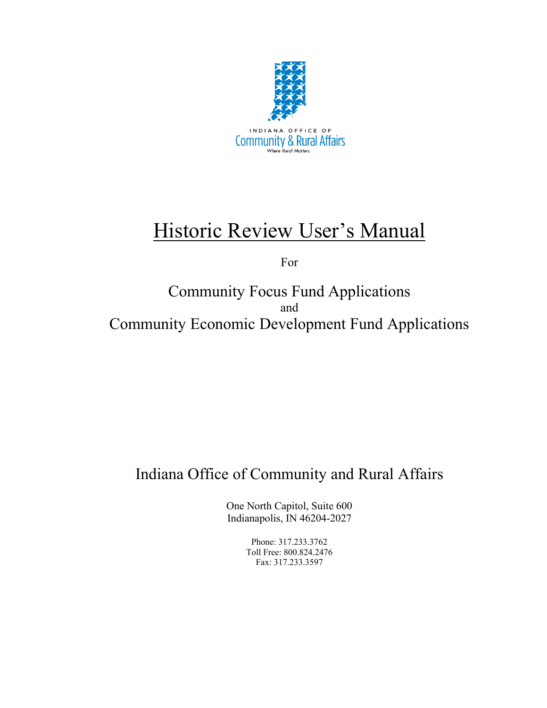

# Historic Review User's Manual

For

Community Focus Fund Applications and Community Economic Development Fund Applications

# Indiana Office of Community and Rural Affairs

One North Capitol, Suite 600 Indianapolis, IN 46204-2027

> Phone: 317.233.3762 Toll Free: 800.824.2476 Fax: 317.233.3597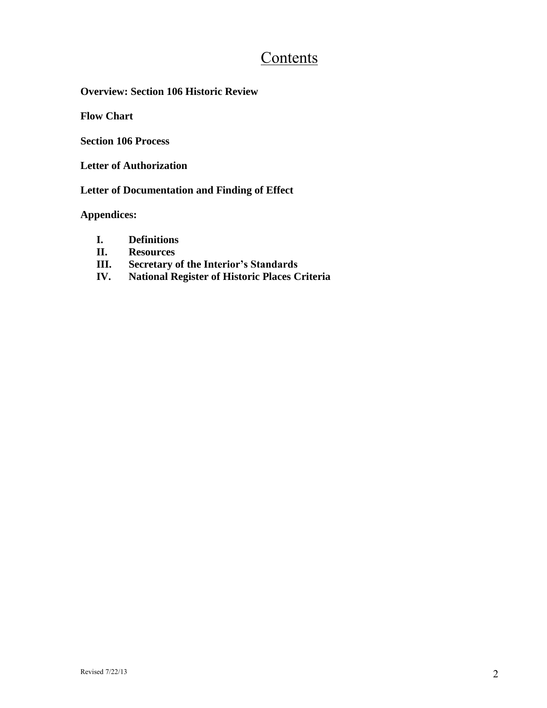### **Contents**

**Overview: Section 106 Historic Review** 

**Flow Chart** 

**Section 106 Process** 

**Letter of Authorization** 

**Letter of Documentation and Finding of Effect** 

**Appendices:** 

- **I. Definitions**
- **II. Resources**
- **III. Secretary of the Interior's Standards**
- **IV. National Register of Historic Places Criteria**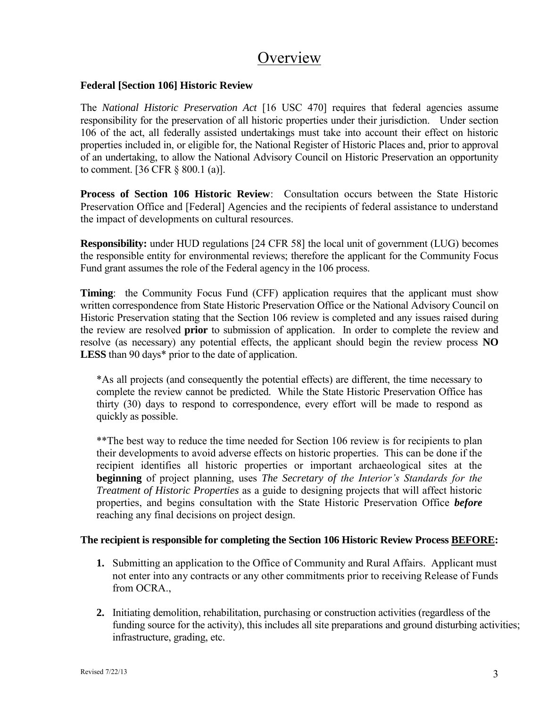### **Overview**

#### **Federal [Section 106] Historic Review**

The *National Historic Preservation Act* [16 USC 470] requires that federal agencies assume responsibility for the preservation of all historic properties under their jurisdiction. Under section 106 of the act, all federally assisted undertakings must take into account their effect on historic properties included in, or eligible for, the National Register of Historic Places and, prior to approval of an undertaking, to allow the National Advisory Council on Historic Preservation an opportunity to comment. [36 CFR § 800.1 (a)].

**Process of Section 106 Historic Review**: Consultation occurs between the State Historic Preservation Office and [Federal] Agencies and the recipients of federal assistance to understand the impact of developments on cultural resources.

**Responsibility:** under HUD regulations [24 CFR 58] the local unit of government (LUG) becomes the responsible entity for environmental reviews; therefore the applicant for the Community Focus Fund grant assumes the role of the Federal agency in the 106 process.

**Timing**: the Community Focus Fund (CFF) application requires that the applicant must show written correspondence from State Historic Preservation Office or the National Advisory Council on Historic Preservation stating that the Section 106 review is completed and any issues raised during the review are resolved **prior** to submission of application. In order to complete the review and resolve (as necessary) any potential effects, the applicant should begin the review process **NO** LESS than 90 days<sup>\*</sup> prior to the date of application.

\*As all projects (and consequently the potential effects) are different, the time necessary to complete the review cannot be predicted. While the State Historic Preservation Office has thirty (30) days to respond to correspondence, every effort will be made to respond as quickly as possible.

\*\*The best way to reduce the time needed for Section 106 review is for recipients to plan their developments to avoid adverse effects on historic properties. This can be done if the recipient identifies all historic properties or important archaeological sites at the **beginning** of project planning, uses *The Secretary of the Interior's Standards for the Treatment of Historic Properties* as a guide to designing projects that will affect historic properties, and begins consultation with the State Historic Preservation Office *before* reaching any final decisions on project design.

#### **The recipient is responsible for completing the Section 106 Historic Review Process BEFORE:**

- **1.** Submitting an application to the Office of Community and Rural Affairs. Applicant must not enter into any contracts or any other commitments prior to receiving Release of Funds from OCRA.,
- **2.** Initiating demolition, rehabilitation, purchasing or construction activities (regardless of the funding source for the activity), this includes all site preparations and ground disturbing activities; infrastructure, grading, etc.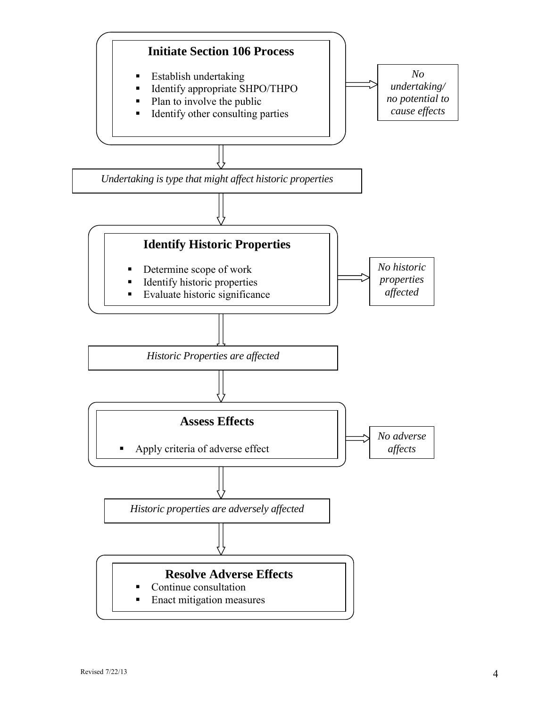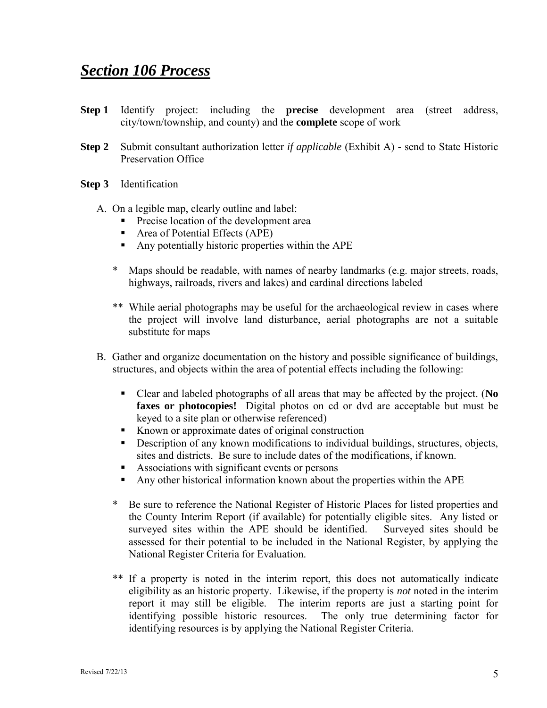### *Section 106 Process*

- **Step 1** Identify project: including the **precise** development area (street address, city/town/township, and county) and the **complete** scope of work
- **Step 2** Submit consultant authorization letter *if applicable* (Exhibit A) send to State Historic Preservation Office
- **Step 3** Identification
	- A. On a legible map, clearly outline and label:
		- **Precise location of the development area**
		- Area of Potential Effects (APE)
		- Any potentially historic properties within the APE
		- \* Maps should be readable, with names of nearby landmarks (e.g. major streets, roads, highways, railroads, rivers and lakes) and cardinal directions labeled
		- \*\* While aerial photographs may be useful for the archaeological review in cases where the project will involve land disturbance, aerial photographs are not a suitable substitute for maps
	- B. Gather and organize documentation on the history and possible significance of buildings, structures, and objects within the area of potential effects including the following:
		- Clear and labeled photographs of all areas that may be affected by the project. (**No faxes or photocopies!** Digital photos on cd or dvd are acceptable but must be keyed to a site plan or otherwise referenced)
		- Known or approximate dates of original construction
		- Description of any known modifications to individual buildings, structures, objects, sites and districts. Be sure to include dates of the modifications, if known.
		- Associations with significant events or persons
		- Any other historical information known about the properties within the APE
		- \* Be sure to reference the National Register of Historic Places for listed properties and the County Interim Report (if available) for potentially eligible sites. Any listed or surveyed sites within the APE should be identified. Surveyed sites should be assessed for their potential to be included in the National Register, by applying the National Register Criteria for Evaluation.
		- \*\* If a property is noted in the interim report, this does not automatically indicate eligibility as an historic property. Likewise, if the property is *not* noted in the interim report it may still be eligible. The interim reports are just a starting point for identifying possible historic resources. The only true determining factor for identifying resources is by applying the National Register Criteria.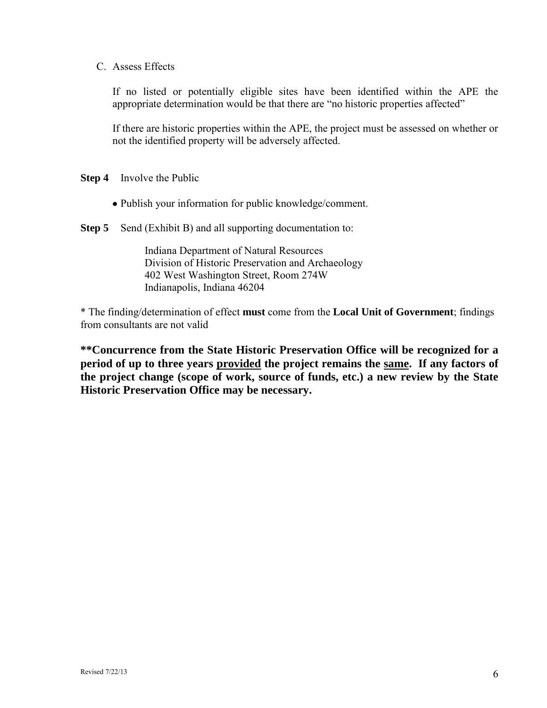C. Assess Effects

If no listed or potentially eligible sites have been identified within the APE the appropriate determination would be that there are "no historic properties affected"

If there are historic properties within the APE, the project must be assessed on whether or not the identified property will be adversely affected.

**Step 4** Involve the Public

Publish your information for public knowledge/comment.

**Step 5** Send (Exhibit B) and all supporting documentation to:

Indiana Department of Natural Resources Division of Historic Preservation and Archaeology 402 West Washington Street, Room 274W Indianapolis, Indiana 46204

\* The finding/determination of effect **must** come from the **Local Unit of Government**; findings from consultants are not valid

**\*\*Concurrence from the State Historic Preservation Office will be recognized for a period of up to three years provided the project remains the same. If any factors of the project change (scope of work, source of funds, etc.) a new review by the State Historic Preservation Office may be necessary.**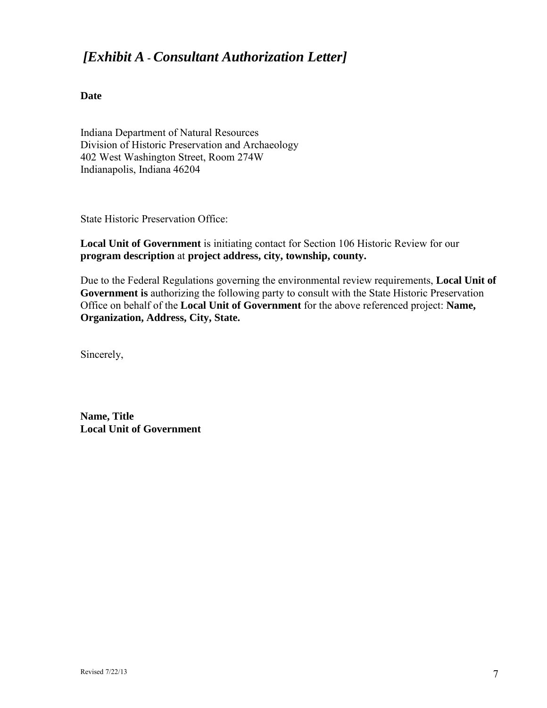### *[Exhibit A* **-** *Consultant Authorization Letter]*

### **Date**

Indiana Department of Natural Resources Division of Historic Preservation and Archaeology 402 West Washington Street, Room 274W Indianapolis, Indiana 46204

State Historic Preservation Office:

### **Local Unit of Government** is initiating contact for Section 106 Historic Review for our **program description** at **project address, city, township, county.**

Due to the Federal Regulations governing the environmental review requirements, **Local Unit of Government is** authorizing the following party to consult with the State Historic Preservation Office on behalf of the **Local Unit of Government** for the above referenced project: **Name, Organization, Address, City, State.** 

Sincerely,

**Name, Title Local Unit of Government**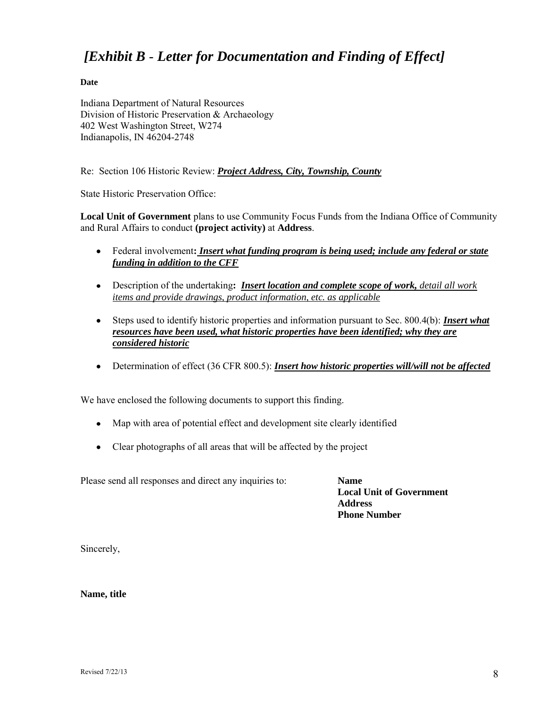### *[Exhibit B* - *Letter for Documentation and Finding of Effect]*

#### **Date**

Indiana Department of Natural Resources Division of Historic Preservation & Archaeology 402 West Washington Street, W274 Indianapolis, IN 46204-2748

#### Re: Section 106 Historic Review: *Project Address, City, Township, County*

State Historic Preservation Office:

**Local Unit of Government** plans to use Community Focus Funds from the Indiana Office of Community and Rural Affairs to conduct **(project activity)** at **Address**.

- Federal involvement**:** *Insert what funding program is being used; include any federal or state funding in addition to the CFF*
- Description of the undertaking**:** *Insert location and complete scope of work, detail all work items and provide drawings, product information, etc. as applicable*
- Steps used to identify historic properties and information pursuant to Sec. 800.4(b): *Insert what resources have been used, what historic properties have been identified; why they are considered historic*
- Determination of effect (36 CFR 800.5): *Insert how historic properties will/will not be affected*

We have enclosed the following documents to support this finding.

- Map with area of potential effect and development site clearly identified
- Clear photographs of all areas that will be affected by the project

Please send all responses and direct any inquiries to: **Name** 

**Local Unit of Government Address Phone Number**

Sincerely,

**Name, title**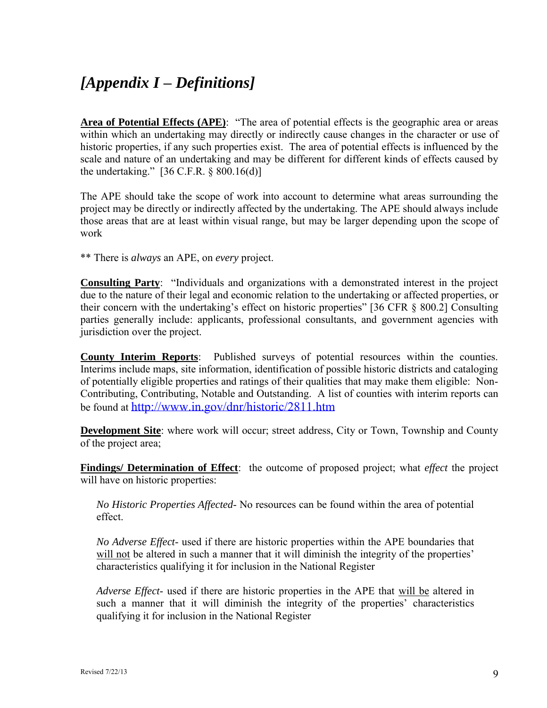# *[Appendix I – Definitions]*

Area of Potential Effects (APE): "The area of potential effects is the geographic area or areas within which an undertaking may directly or indirectly cause changes in the character or use of historic properties, if any such properties exist. The area of potential effects is influenced by the scale and nature of an undertaking and may be different for different kinds of effects caused by the undertaking." [36 C.F.R. § 800.16(d)]

The APE should take the scope of work into account to determine what areas surrounding the project may be directly or indirectly affected by the undertaking. The APE should always include those areas that are at least within visual range, but may be larger depending upon the scope of work

\*\* There is *always* an APE, on *every* project.

**Consulting Party**: "Individuals and organizations with a demonstrated interest in the project due to the nature of their legal and economic relation to the undertaking or affected properties, or their concern with the undertaking's effect on historic properties" [36 CFR § 800.2] Consulting parties generally include: applicants, professional consultants, and government agencies with jurisdiction over the project.

**County Interim Reports**: Published surveys of potential resources within the counties. Interims include maps, site information, identification of possible historic districts and cataloging of potentially eligible properties and ratings of their qualities that may make them eligible: Non-Contributing, Contributing, Notable and Outstanding. A list of counties with interim reports can be found at [http://www.in.gov/dnr/historic/28](http://www.in.gov/dnr/historic/surveymap.html)11.htm

**Development Site**: where work will occur; street address, City or Town, Township and County of the project area;

**Findings/ Determination of Effect**: the outcome of proposed project; what *effect* the project will have on historic properties:

*No Historic Properties Affected*- No resources can be found within the area of potential effect.

*No Adverse Effect*- used if there are historic properties within the APE boundaries that will not be altered in such a manner that it will diminish the integrity of the properties' characteristics qualifying it for inclusion in the National Register

*Adverse Effect*- used if there are historic properties in the APE that will be altered in such a manner that it will diminish the integrity of the properties' characteristics qualifying it for inclusion in the National Register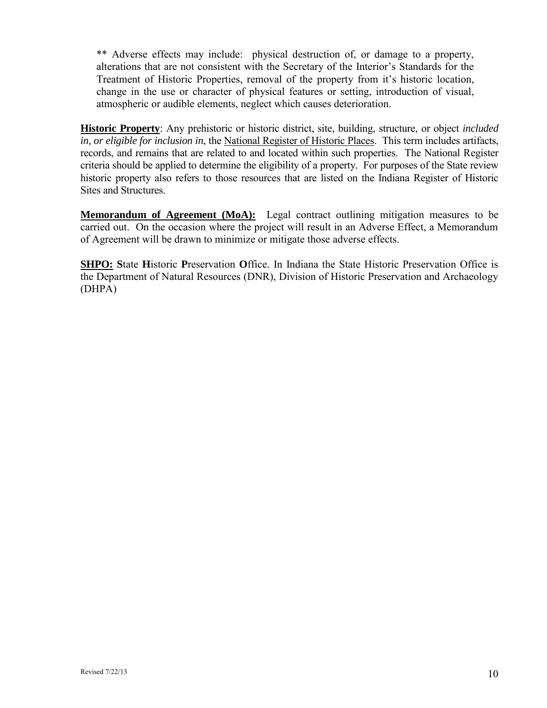\*\* Adverse effects may include: physical destruction of, or damage to a property, alterations that are not consistent with the Secretary of the Interior's Standards for the Treatment of Historic Properties, removal of the property from it's historic location, change in the use or character of physical features or setting, introduction of visual, atmospheric or audible elements, neglect which causes deterioration.

**Historic Property**: Any prehistoric or historic district, site, building, structure, or object *included in, or eligible for inclusion in*, the National Register of Historic Places. This term includes artifacts, records, and remains that are related to and located within such properties. The National Register criteria should be applied to determine the eligibility of a property. For purposes of the State review historic property also refers to those resources that are listed on the Indiana Register of Historic Sites and Structures.

**Memorandum of Agreement (MoA):** Legal contract outlining mitigation measures to be carried out. On the occasion where the project will result in an Adverse Effect, a Memorandum of Agreement will be drawn to minimize or mitigate those adverse effects.

**SHPO: S**tate **H**istoric **P**reservation **O**ffice. In Indiana the State Historic Preservation Office is the Department of Natural Resources (DNR), Division of Historic Preservation and Archaeology (DHPA)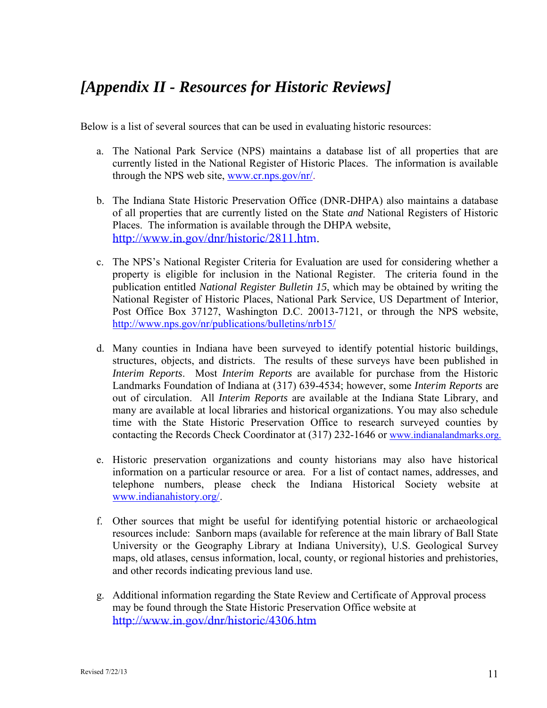# *[Appendix II - Resources for Historic Reviews]*

Below is a list of several sources that can be used in evaluating historic resources:

- a. The National Park Service (NPS) maintains a database list of all properties that are currently listed in the National Register of Historic Places. The information is available through the NPS web site, [www.cr.nps.gov/nr/.](http://www.cr.nps.gov/nr/)
- b. The Indiana State Historic Preservation Office (DNR-DHPA) also maintains a database of all properties that are currently listed on the State *and* National Registers of Historic Places. The information is available through the DHPA website, [http://www.in.gov/dnr/historic/28](http://www.in.gov/dnr/historic/natreg_id.html)11.htm.
- c. The NPS's National Register Criteria for Evaluation are used for considering whether a property is eligible for inclusion in the National Register. The criteria found in the publication entitled *National Register Bulletin 15*, which may be obtained by writing the National Register of Historic Places, National Park Service, US Department of Interior, Post Office Box 37127, Washington D.C. 20013-7121, or through the NPS website, http://www.nps.gov/nr/publications/bulletins/nrb15/
- d. Many counties in Indiana have been surveyed to identify potential historic buildings, structures, objects, and districts. The results of these surveys have been published in *Interim Reports*. Most *Interim Reports* are available for purchase from the Historic Landmarks Foundation of Indiana at (317) 639-4534; however, some *Interim Reports* are out of circulation. All *Interim Reports* are available at the Indiana State Library, and many are available at local libraries and historical organizations. You may also schedule time with the State Historic Preservation Office to research surveyed counties by contacting the Records Check Coordinator at (317) 232-1646 or www.indianalandmarks.org.
- e. Historic preservation organizations and county historians may also have historical information on a particular resource or area. For a list of contact names, addresses, and telephone numbers, please check the Indiana Historical Society website at www.indianahistory.org/.
- f. Other sources that might be useful for identifying potential historic or archaeological resources include: Sanborn maps (available for reference at the main library of Ball State University or the Geography Library at Indiana University), U.S. Geological Survey maps, old atlases, census information, local, county, or regional histories and prehistories, and other records indicating previous land use.
- g. Additional information regarding the State Review and Certificate of Approval process may be found through the State Historic Preservation Office website at [http://www.in.gov/dnr/historic/](http://www.in.gov/dnr/historic/bin/certapproval.doc)4306.htm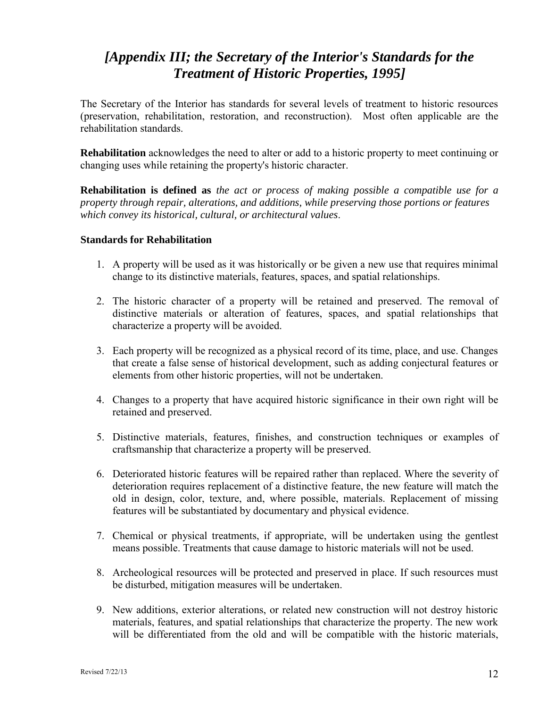### *[Appendix III; the Secretary of the Interior's Standards for the Treatment of Historic Properties, 1995]*

The Secretary of the Interior has standards for several levels of treatment to historic resources (preservation, rehabilitation, restoration, and reconstruction). Most often applicable are the rehabilitation standards.

**Rehabilitation** acknowledges the need to alter or add to a historic property to meet continuing or changing uses while retaining the property's historic character.

**Rehabilitation is defined as** *the act or process of making possible a compatible use for a property through repair, alterations, and additions, while preserving those portions or features which convey its historical, cultural, or architectural values*.

#### **Standards for Rehabilitation**

- 1. A property will be used as it was historically or be given a new use that requires minimal change to its distinctive materials, features, spaces, and spatial relationships.
- 2. The historic character of a property will be retained and preserved. The removal of distinctive materials or alteration of features, spaces, and spatial relationships that characterize a property will be avoided.
- 3. Each property will be recognized as a physical record of its time, place, and use. Changes that create a false sense of historical development, such as adding conjectural features or elements from other historic properties, will not be undertaken.
- 4. Changes to a property that have acquired historic significance in their own right will be retained and preserved.
- 5. Distinctive materials, features, finishes, and construction techniques or examples of craftsmanship that characterize a property will be preserved.
- 6. Deteriorated historic features will be repaired rather than replaced. Where the severity of deterioration requires replacement of a distinctive feature, the new feature will match the old in design, color, texture, and, where possible, materials. Replacement of missing features will be substantiated by documentary and physical evidence.
- 7. Chemical or physical treatments, if appropriate, will be undertaken using the gentlest means possible. Treatments that cause damage to historic materials will not be used.
- 8. Archeological resources will be protected and preserved in place. If such resources must be disturbed, mitigation measures will be undertaken.
- 9. New additions, exterior alterations, or related new construction will not destroy historic materials, features, and spatial relationships that characterize the property. The new work will be differentiated from the old and will be compatible with the historic materials,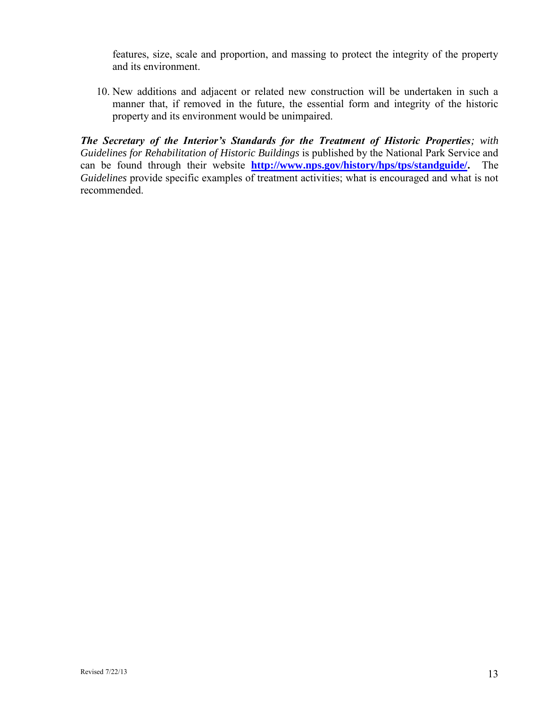features, size, scale and proportion, and massing to protect the integrity of the property and its environment.

10. New additions and adjacent or related new construction will be undertaken in such a manner that, if removed in the future, the essential form and integrity of the historic property and its environment would be unimpaired.

*The Secretary of the Interior's Standards for the Treatment of Historic Properties; with Guidelines for Rehabilitation of Historic Buildings* is published by the National Park Service and can be found through their website **[http://www.nps.gov/history/hps/tps/standguide/.](http://www.nps.gov/history/hps/tps/standguide/)** The *Guidelines* provide specific examples of treatment activities; what is encouraged and what is not recommended.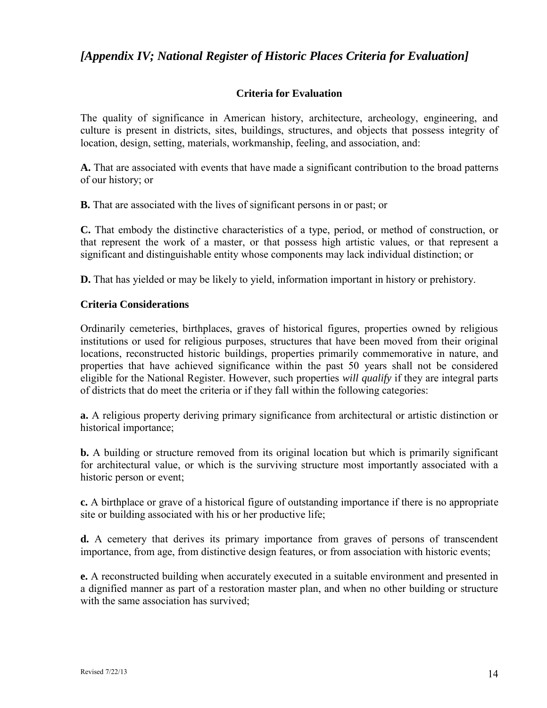### *[Appendix IV; National Register of Historic Places Criteria for Evaluation]*

### **Criteria for Evaluation**

The quality of significance in American history, architecture, archeology, engineering, and culture is present in districts, sites, buildings, structures, and objects that possess integrity of location, design, setting, materials, workmanship, feeling, and association, and:

**A.** That are associated with events that have made a significant contribution to the broad patterns of our history; or

**B.** That are associated with the lives of significant persons in or past; or

**C.** That embody the distinctive characteristics of a type, period, or method of construction, or that represent the work of a master, or that possess high artistic values, or that represent a significant and distinguishable entity whose components may lack individual distinction; or

**D.** That has yielded or may be likely to yield, information important in history or prehistory.

#### **Criteria Considerations**

Ordinarily cemeteries, birthplaces, graves of historical figures, properties owned by religious institutions or used for religious purposes, structures that have been moved from their original locations, reconstructed historic buildings, properties primarily commemorative in nature, and properties that have achieved significance within the past 50 years shall not be considered eligible for the National Register. However, such properties *will qualify* if they are integral parts of districts that do meet the criteria or if they fall within the following categories:

**a.** A religious property deriving primary significance from architectural or artistic distinction or historical importance;

**b.** A building or structure removed from its original location but which is primarily significant for architectural value, or which is the surviving structure most importantly associated with a historic person or event;

**c.** A birthplace or grave of a historical figure of outstanding importance if there is no appropriate site or building associated with his or her productive life;

**d.** A cemetery that derives its primary importance from graves of persons of transcendent importance, from age, from distinctive design features, or from association with historic events;

**e.** A reconstructed building when accurately executed in a suitable environment and presented in a dignified manner as part of a restoration master plan, and when no other building or structure with the same association has survived;